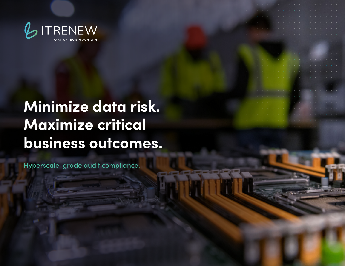

# **Minimize data risk. Maximize critical business outcomes.**

Hyperscale-grade audit compliance.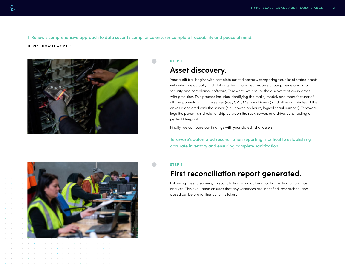ITRenew's comprehensive approach to data security compliance ensures complete traceability and peace of mind.

#### **HERE'S HOW IT WORKS:**





### **STEP 1**

### **Asset discovery.**

Your audit trail begins with complete asset discovery, comparing your list of stated assets with what we actually find. Utilizing the automated process of our proprietary data security and compliance software, Teraware, we ensure the discovery of every asset with precision. This process includes identifying the make, model, and manufacturer of all components within the server (e.g., CPU, Memory Dimms) and all key attributes of the drives associated with the server (e.g., power-on hours, logical serial number). Teraware logs the parent-child relationship between the rack, server, and drive, constructing a perfect blueprint.

Finally, we compare our findings with your stated list of assets.

Teraware's automated reconciliation reporting is critical to establishing accurate inventory and ensuring complete sanitization.

#### **STEP 2**

### **First reconciliation report generated.**

Following asset discovery, a reconciliation is run automatically, creating a variance analysis. This evaluation ensures that any variances are identified, researched, and closed out before further action is taken.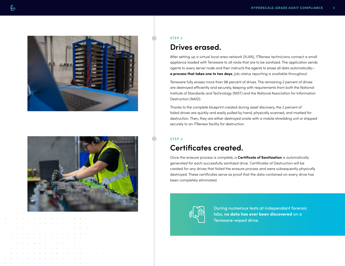



#### **STEP 3**

### **Drives erased.**

After setting up a virtual local area network (VLAN), ITRenew technicians connect a small appliance loaded with Teraware to all racks that are to be sanitized. The application sends agents to every server node and then instructs the agents to erase all data automatically **a process that takes one to two days.** Job-status reporting is available throughout.

Teraware fully erases more than 98 percent of drives. The remaining 2 percent of drives are destroyed efficiently and securely, keeping with requirements from both the National Institute of Standards and Technology (NIST) and the National Association for Information Destruction (NAID).

Thanks to the complete blueprint created during asset discovery, the 2 percent of failed drives are quickly and easily pulled by hand, physically scanned, and marked for destruction. Then, they are either destroyed onsite with a mobile shredding unit or shipped securely to an ITRenew facility for destruction.

### **STEP 4**

### **Certificates created.**

Once the erasure process is complete, a **Certificate of Sanitization** is automatically generated for each successfully sanitized drive. Certificates of Destruction will be created for any drives that failed the erasure process and were subsequently physically destroyed. These certificates serve as proof that the data contained on every drive has been completely eliminated.



During numerous tests at independant forensic labs, **no data has ever been discovered** on a Teraware-wiped drive.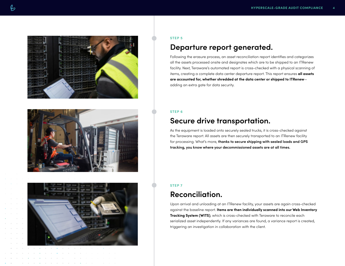





#### **STEP 5**

### **Departure report generated.**

Following the erasure process, an asset reconciliation report identifies and categorizes all the assets processed onsite and designates which are to be shipped to an ITRenew facility. Next, Teraware's automated report is cross-checked with a physical scanning of items, creating a complete data center departure report. This report ensures **all assets are accounted for, whether shredded at the data center or shipped to ITRenew** adding an extra gate for data security.

### **STEP 6**

### **Secure drive transportation.**

As the equipment is loaded onto securely sealed trucks, it is cross-checked against the Teraware report. All assets are then securely transported to an ITRenew facility for processing. What's more, **thanks to secure shipping with sealed loads and GPS tracking, you know where your decommissioned assets are at all times.**

### **STEP 7**

### **Reconciliation.**

Upon arrival and unloading at an ITRenew facility, your assets are again cross-checked against the baseline report. **Items are then individually scanned into our Web Inventory Tracking System (WITS)**, which is cross-checked with Teraware to reconcile each serialized asset independently. If any variances are found, a variance report is created, triggering an investigation in collaboration with the client.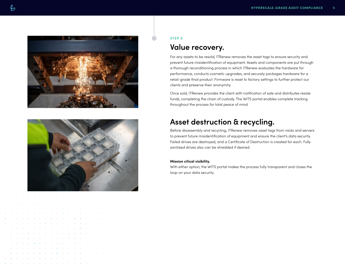



### **STEP 8**

### **Value recovery.**

For any assets to be resold, ITRenew removes the asset tags to ensure security and prevent future misidentification of equipment. Assets and components are put through a thorough reconditioning process in which ITRenew evaluates the hardware for performance, conducts cosmetic upgrades, and securely packages hardware for a retail-grade final product. Firmware is reset to factory settings to further protect our clients and preserve their anonymity.

Once sold, ITRenew provides the client with notification of sale and distributes resale funds, completing the chain of custody. The WITS portal enables complete tracking throughout the process for total peace of mind.

### **Asset destruction & recycling.**

Before disassembly and recycling, ITRenew removes asset tags from racks and servers to prevent future misidentification of equipment and ensure the client's data security. Failed drives are destroyed, and a Certificate of Destruction is created for each. Fully sanitized drives also can be shredded if desired.

#### **Mission citical visibility.**

With either option, the WITS portal makes the process fully transparent and closes the loop on your data security.